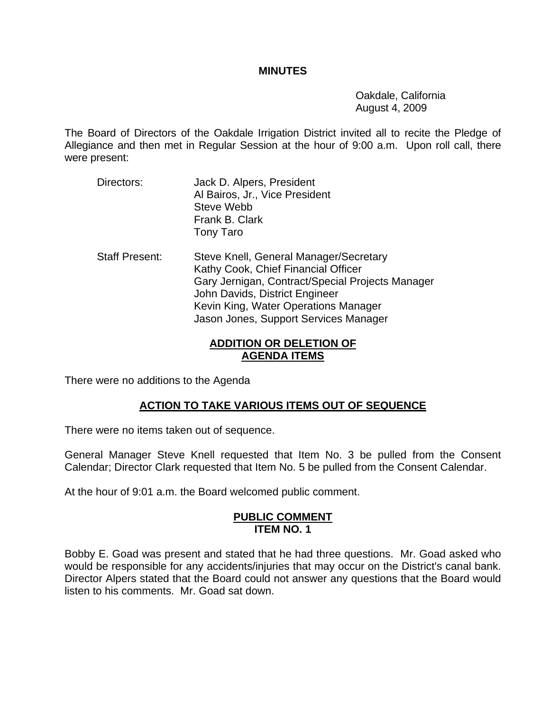### **MINUTES**

 Oakdale, California August 4, 2009

The Board of Directors of the Oakdale Irrigation District invited all to recite the Pledge of Allegiance and then met in Regular Session at the hour of 9:00 a.m. Upon roll call, there were present:

- Directors: Jack D. Alpers, President Al Bairos, Jr., Vice President Steve Webb Frank B. Clark Tony Taro
- Staff Present: Steve Knell, General Manager/Secretary Kathy Cook, Chief Financial Officer Gary Jernigan, Contract/Special Projects Manager John Davids, District Engineer Kevin King, Water Operations Manager Jason Jones, Support Services Manager

## **ADDITION OR DELETION OF AGENDA ITEMS**

There were no additions to the Agenda

# **ACTION TO TAKE VARIOUS ITEMS OUT OF SEQUENCE**

There were no items taken out of sequence.

General Manager Steve Knell requested that Item No. 3 be pulled from the Consent Calendar; Director Clark requested that Item No. 5 be pulled from the Consent Calendar.

At the hour of 9:01 a.m. the Board welcomed public comment.

#### **PUBLIC COMMENT ITEM NO. 1**

Bobby E. Goad was present and stated that he had three questions. Mr. Goad asked who would be responsible for any accidents/injuries that may occur on the District's canal bank. Director Alpers stated that the Board could not answer any questions that the Board would listen to his comments. Mr. Goad sat down.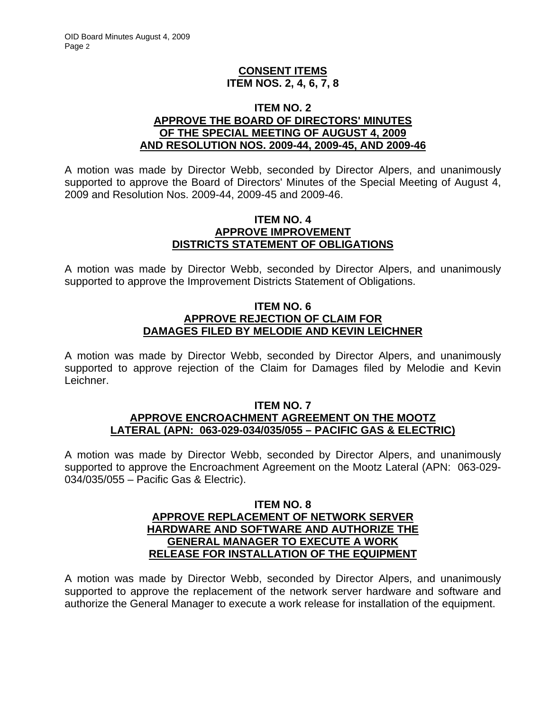## **CONSENT ITEMS ITEM NOS. 2, 4, 6, 7, 8**

### **ITEM NO. 2 APPROVE THE BOARD OF DIRECTORS' MINUTES OF THE SPECIAL MEETING OF AUGUST 4, 2009 AND RESOLUTION NOS. 2009-44, 2009-45, AND 2009-46**

A motion was made by Director Webb, seconded by Director Alpers, and unanimously supported to approve the Board of Directors' Minutes of the Special Meeting of August 4, 2009 and Resolution Nos. 2009-44, 2009-45 and 2009-46.

### **ITEM NO. 4 APPROVE IMPROVEMENT DISTRICTS STATEMENT OF OBLIGATIONS**

A motion was made by Director Webb, seconded by Director Alpers, and unanimously supported to approve the Improvement Districts Statement of Obligations.

## **ITEM NO. 6 APPROVE REJECTION OF CLAIM FOR DAMAGES FILED BY MELODIE AND KEVIN LEICHNER**

A motion was made by Director Webb, seconded by Director Alpers, and unanimously supported to approve rejection of the Claim for Damages filed by Melodie and Kevin Leichner.

#### **ITEM NO. 7 APPROVE ENCROACHMENT AGREEMENT ON THE MOOTZ LATERAL (APN: 063-029-034/035/055 – PACIFIC GAS & ELECTRIC)**

A motion was made by Director Webb, seconded by Director Alpers, and unanimously supported to approve the Encroachment Agreement on the Mootz Lateral (APN: 063-029- 034/035/055 – Pacific Gas & Electric).

### **ITEM NO. 8 APPROVE REPLACEMENT OF NETWORK SERVER HARDWARE AND SOFTWARE AND AUTHORIZE THE GENERAL MANAGER TO EXECUTE A WORK RELEASE FOR INSTALLATION OF THE EQUIPMENT**

A motion was made by Director Webb, seconded by Director Alpers, and unanimously supported to approve the replacement of the network server hardware and software and authorize the General Manager to execute a work release for installation of the equipment.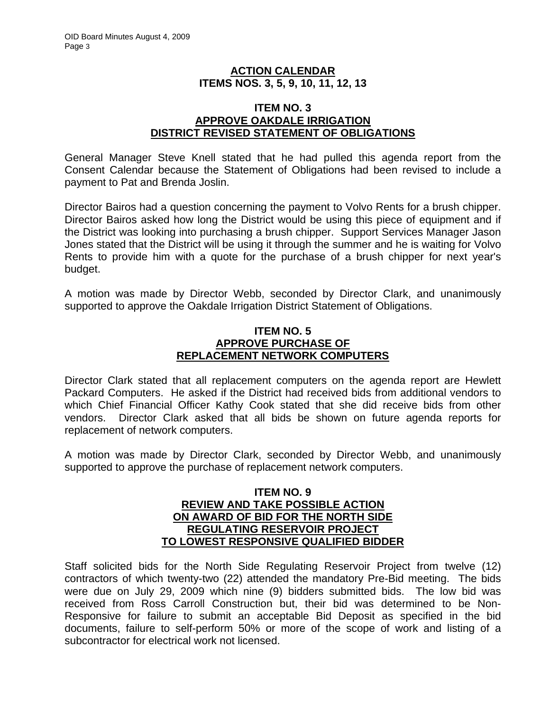## **ACTION CALENDAR ITEMS NOS. 3, 5, 9, 10, 11, 12, 13**

### **ITEM NO. 3 APPROVE OAKDALE IRRIGATION DISTRICT REVISED STATEMENT OF OBLIGATIONS**

General Manager Steve Knell stated that he had pulled this agenda report from the Consent Calendar because the Statement of Obligations had been revised to include a payment to Pat and Brenda Joslin.

Director Bairos had a question concerning the payment to Volvo Rents for a brush chipper. Director Bairos asked how long the District would be using this piece of equipment and if the District was looking into purchasing a brush chipper. Support Services Manager Jason Jones stated that the District will be using it through the summer and he is waiting for Volvo Rents to provide him with a quote for the purchase of a brush chipper for next year's budget.

A motion was made by Director Webb, seconded by Director Clark, and unanimously supported to approve the Oakdale Irrigation District Statement of Obligations.

### **ITEM NO. 5 APPROVE PURCHASE OF REPLACEMENT NETWORK COMPUTERS**

Director Clark stated that all replacement computers on the agenda report are Hewlett Packard Computers. He asked if the District had received bids from additional vendors to which Chief Financial Officer Kathy Cook stated that she did receive bids from other vendors. Director Clark asked that all bids be shown on future agenda reports for replacement of network computers.

A motion was made by Director Clark, seconded by Director Webb, and unanimously supported to approve the purchase of replacement network computers.

### **ITEM NO. 9 REVIEW AND TAKE POSSIBLE ACTION ON AWARD OF BID FOR THE NORTH SIDE REGULATING RESERVOIR PROJECT TO LOWEST RESPONSIVE QUALIFIED BIDDER**

Staff solicited bids for the North Side Regulating Reservoir Project from twelve (12) contractors of which twenty-two (22) attended the mandatory Pre-Bid meeting. The bids were due on July 29, 2009 which nine (9) bidders submitted bids. The low bid was received from Ross Carroll Construction but, their bid was determined to be Non-Responsive for failure to submit an acceptable Bid Deposit as specified in the bid documents, failure to self-perform 50% or more of the scope of work and listing of a subcontractor for electrical work not licensed.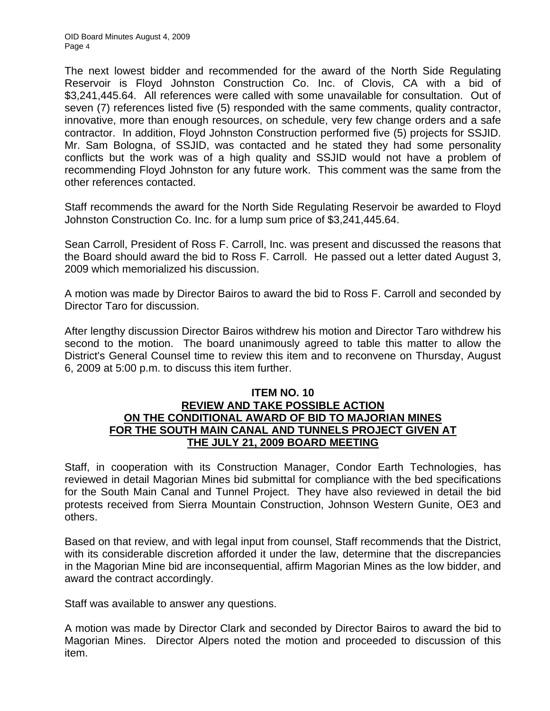OID Board Minutes August 4, 2009 Page 4

The next lowest bidder and recommended for the award of the North Side Regulating Reservoir is Floyd Johnston Construction Co. Inc. of Clovis, CA with a bid of \$3,241,445.64. All references were called with some unavailable for consultation. Out of seven (7) references listed five (5) responded with the same comments, quality contractor, innovative, more than enough resources, on schedule, very few change orders and a safe contractor. In addition, Floyd Johnston Construction performed five (5) projects for SSJID. Mr. Sam Bologna, of SSJID, was contacted and he stated they had some personality conflicts but the work was of a high quality and SSJID would not have a problem of recommending Floyd Johnston for any future work. This comment was the same from the other references contacted.

Staff recommends the award for the North Side Regulating Reservoir be awarded to Floyd Johnston Construction Co. Inc. for a lump sum price of \$3,241,445.64.

Sean Carroll, President of Ross F. Carroll, Inc. was present and discussed the reasons that the Board should award the bid to Ross F. Carroll. He passed out a letter dated August 3, 2009 which memorialized his discussion.

A motion was made by Director Bairos to award the bid to Ross F. Carroll and seconded by Director Taro for discussion.

After lengthy discussion Director Bairos withdrew his motion and Director Taro withdrew his second to the motion. The board unanimously agreed to table this matter to allow the District's General Counsel time to review this item and to reconvene on Thursday, August 6, 2009 at 5:00 p.m. to discuss this item further.

## **ITEM NO. 10 REVIEW AND TAKE POSSIBLE ACTION ON THE CONDITIONAL AWARD OF BID TO MAJORIAN MINES FOR THE SOUTH MAIN CANAL AND TUNNELS PROJECT GIVEN AT THE JULY 21, 2009 BOARD MEETING**

Staff, in cooperation with its Construction Manager, Condor Earth Technologies, has reviewed in detail Magorian Mines bid submittal for compliance with the bed specifications for the South Main Canal and Tunnel Project. They have also reviewed in detail the bid protests received from Sierra Mountain Construction, Johnson Western Gunite, OE3 and others.

Based on that review, and with legal input from counsel, Staff recommends that the District, with its considerable discretion afforded it under the law, determine that the discrepancies in the Magorian Mine bid are inconsequential, affirm Magorian Mines as the low bidder, and award the contract accordingly.

Staff was available to answer any questions.

A motion was made by Director Clark and seconded by Director Bairos to award the bid to Magorian Mines. Director Alpers noted the motion and proceeded to discussion of this item.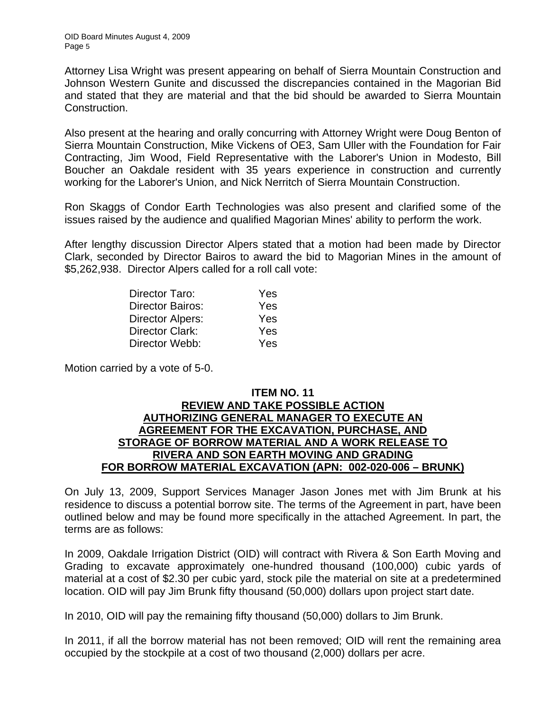Attorney Lisa Wright was present appearing on behalf of Sierra Mountain Construction and Johnson Western Gunite and discussed the discrepancies contained in the Magorian Bid and stated that they are material and that the bid should be awarded to Sierra Mountain Construction.

Also present at the hearing and orally concurring with Attorney Wright were Doug Benton of Sierra Mountain Construction, Mike Vickens of OE3, Sam Uller with the Foundation for Fair Contracting, Jim Wood, Field Representative with the Laborer's Union in Modesto, Bill Boucher an Oakdale resident with 35 years experience in construction and currently working for the Laborer's Union, and Nick Nerritch of Sierra Mountain Construction.

Ron Skaggs of Condor Earth Technologies was also present and clarified some of the issues raised by the audience and qualified Magorian Mines' ability to perform the work.

After lengthy discussion Director Alpers stated that a motion had been made by Director Clark, seconded by Director Bairos to award the bid to Magorian Mines in the amount of \$5,262,938. Director Alpers called for a roll call vote:

| Director Taro:          | Yes |
|-------------------------|-----|
| <b>Director Bairos:</b> | Yes |
| <b>Director Alpers:</b> | Yes |
| Director Clark:         | Yes |
| Director Webb:          | Yes |

Motion carried by a vote of 5-0.

## **ITEM NO. 11 REVIEW AND TAKE POSSIBLE ACTION AUTHORIZING GENERAL MANAGER TO EXECUTE AN AGREEMENT FOR THE EXCAVATION, PURCHASE, AND STORAGE OF BORROW MATERIAL AND A WORK RELEASE TO RIVERA AND SON EARTH MOVING AND GRADING FOR BORROW MATERIAL EXCAVATION (APN: 002-020-006 – BRUNK)**

On July 13, 2009, Support Services Manager Jason Jones met with Jim Brunk at his residence to discuss a potential borrow site. The terms of the Agreement in part, have been outlined below and may be found more specifically in the attached Agreement. In part, the terms are as follows:

In 2009, Oakdale Irrigation District (OID) will contract with Rivera & Son Earth Moving and Grading to excavate approximately one-hundred thousand (100,000) cubic yards of material at a cost of \$2.30 per cubic yard, stock pile the material on site at a predetermined location. OID will pay Jim Brunk fifty thousand (50,000) dollars upon project start date.

In 2010, OID will pay the remaining fifty thousand (50,000) dollars to Jim Brunk.

In 2011, if all the borrow material has not been removed; OID will rent the remaining area occupied by the stockpile at a cost of two thousand (2,000) dollars per acre.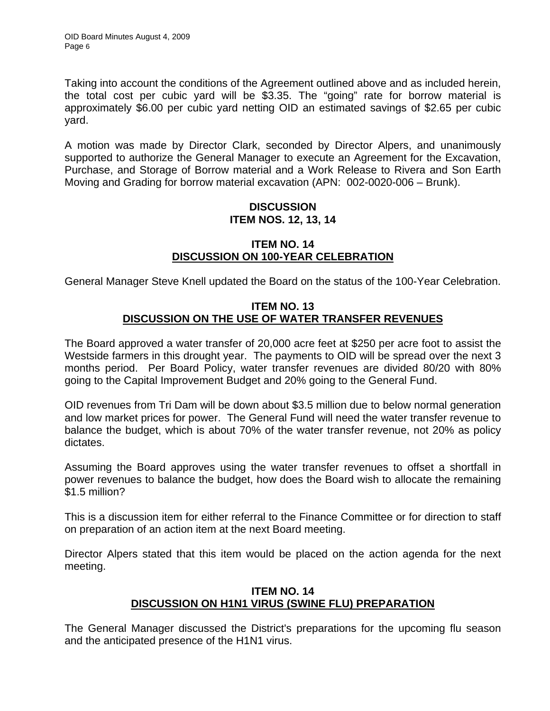Taking into account the conditions of the Agreement outlined above and as included herein, the total cost per cubic yard will be \$3.35. The "going" rate for borrow material is approximately \$6.00 per cubic yard netting OID an estimated savings of \$2.65 per cubic yard.

A motion was made by Director Clark, seconded by Director Alpers, and unanimously supported to authorize the General Manager to execute an Agreement for the Excavation, Purchase, and Storage of Borrow material and a Work Release to Rivera and Son Earth Moving and Grading for borrow material excavation (APN: 002-0020-006 – Brunk).

# **DISCUSSION ITEM NOS. 12, 13, 14**

# **ITEM NO. 14 DISCUSSION ON 100-YEAR CELEBRATION**

General Manager Steve Knell updated the Board on the status of the 100-Year Celebration.

# **ITEM NO. 13 DISCUSSION ON THE USE OF WATER TRANSFER REVENUES**

The Board approved a water transfer of 20,000 acre feet at \$250 per acre foot to assist the Westside farmers in this drought year. The payments to OID will be spread over the next 3 months period. Per Board Policy, water transfer revenues are divided 80/20 with 80% going to the Capital Improvement Budget and 20% going to the General Fund.

OID revenues from Tri Dam will be down about \$3.5 million due to below normal generation and low market prices for power. The General Fund will need the water transfer revenue to balance the budget, which is about 70% of the water transfer revenue, not 20% as policy dictates.

Assuming the Board approves using the water transfer revenues to offset a shortfall in power revenues to balance the budget, how does the Board wish to allocate the remaining \$1.5 million?

This is a discussion item for either referral to the Finance Committee or for direction to staff on preparation of an action item at the next Board meeting.

Director Alpers stated that this item would be placed on the action agenda for the next meeting.

# **ITEM NO. 14 DISCUSSION ON H1N1 VIRUS (SWINE FLU) PREPARATION**

The General Manager discussed the District's preparations for the upcoming flu season and the anticipated presence of the H1N1 virus.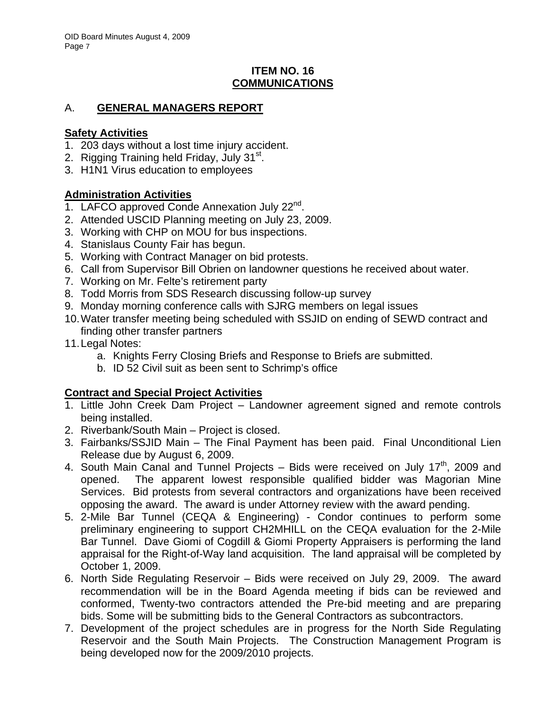# **ITEM NO. 16 COMMUNICATIONS**

# A. **GENERAL MANAGERS REPORT**

# **Safety Activities**

- 1. 203 days without a lost time injury accident.
- 2. Rigging Training held Friday, July 31<sup>st</sup>.
- 3. H1N1 Virus education to employees

# **Administration Activities**

- 1. LAFCO approved Conde Annexation July 22<sup>nd</sup>.
- 2. Attended USCID Planning meeting on July 23, 2009.
- 3. Working with CHP on MOU for bus inspections.
- 4. Stanislaus County Fair has begun.
- 5. Working with Contract Manager on bid protests.
- 6. Call from Supervisor Bill Obrien on landowner questions he received about water.
- 7. Working on Mr. Felte's retirement party
- 8. Todd Morris from SDS Research discussing follow-up survey
- 9. Monday morning conference calls with SJRG members on legal issues
- 10. Water transfer meeting being scheduled with SSJID on ending of SEWD contract and finding other transfer partners
- 11. Legal Notes:
	- a. Knights Ferry Closing Briefs and Response to Briefs are submitted.
	- b. ID 52 Civil suit as been sent to Schrimp's office

# **Contract and Special Project Activities**

- 1. Little John Creek Dam Project Landowner agreement signed and remote controls being installed.
- 2. Riverbank/South Main Project is closed.
- 3. Fairbanks/SSJID Main The Final Payment has been paid. Final Unconditional Lien Release due by August 6, 2009.
- 4. South Main Canal and Tunnel Projects  $-$  Bids were received on July 17<sup>th</sup>, 2009 and opened. The apparent lowest responsible qualified bidder was Magorian Mine Services. Bid protests from several contractors and organizations have been received opposing the award. The award is under Attorney review with the award pending.
- 5. 2-Mile Bar Tunnel (CEQA & Engineering) Condor continues to perform some preliminary engineering to support CH2MHILL on the CEQA evaluation for the 2-Mile Bar Tunnel. Dave Giomi of Cogdill & Giomi Property Appraisers is performing the land appraisal for the Right-of-Way land acquisition. The land appraisal will be completed by October 1, 2009.
- 6. North Side Regulating Reservoir Bids were received on July 29, 2009. The award recommendation will be in the Board Agenda meeting if bids can be reviewed and conformed, Twenty-two contractors attended the Pre-bid meeting and are preparing bids. Some will be submitting bids to the General Contractors as subcontractors.
- 7. Development of the project schedules are in progress for the North Side Regulating Reservoir and the South Main Projects. The Construction Management Program is being developed now for the 2009/2010 projects.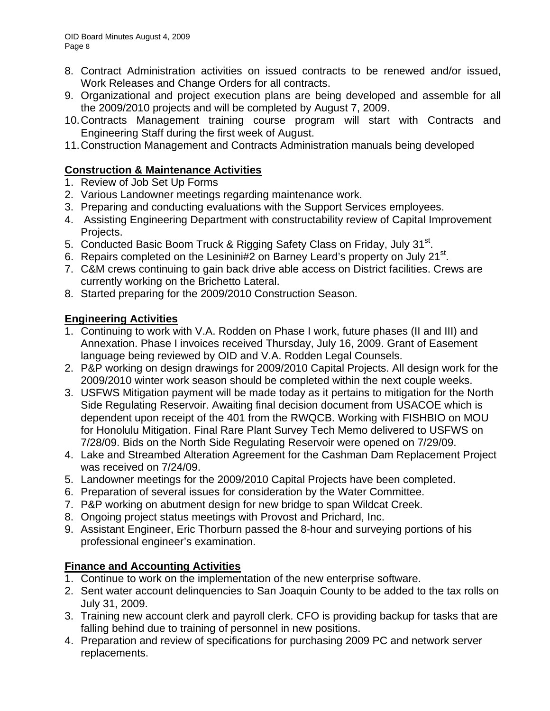- 8. Contract Administration activities on issued contracts to be renewed and/or issued, Work Releases and Change Orders for all contracts.
- 9. Organizational and project execution plans are being developed and assemble for all the 2009/2010 projects and will be completed by August 7, 2009.
- 10. Contracts Management training course program will start with Contracts and Engineering Staff during the first week of August.
- 11. Construction Management and Contracts Administration manuals being developed

# **Construction & Maintenance Activities**

- 1. Review of Job Set Up Forms
- 2. Various Landowner meetings regarding maintenance work.
- 3. Preparing and conducting evaluations with the Support Services employees.
- 4. Assisting Engineering Department with constructability review of Capital Improvement Projects.
- 5. Conducted Basic Boom Truck & Rigging Safety Class on Friday, July 31<sup>st</sup>.
- 6. Repairs completed on the Lesinini#2 on Barney Leard's property on July 21<sup>st</sup>.
- 7. C&M crews continuing to gain back drive able access on District facilities. Crews are currently working on the Brichetto Lateral.
- 8. Started preparing for the 2009/2010 Construction Season.

# **Engineering Activities**

- 1. Continuing to work with V.A. Rodden on Phase I work, future phases (II and III) and Annexation. Phase I invoices received Thursday, July 16, 2009. Grant of Easement language being reviewed by OID and V.A. Rodden Legal Counsels.
- 2. P&P working on design drawings for 2009/2010 Capital Projects. All design work for the 2009/2010 winter work season should be completed within the next couple weeks.
- 3. USFWS Mitigation payment will be made today as it pertains to mitigation for the North Side Regulating Reservoir. Awaiting final decision document from USACOE which is dependent upon receipt of the 401 from the RWQCB. Working with FISHBIO on MOU for Honolulu Mitigation. Final Rare Plant Survey Tech Memo delivered to USFWS on 7/28/09. Bids on the North Side Regulating Reservoir were opened on 7/29/09.
- 4. Lake and Streambed Alteration Agreement for the Cashman Dam Replacement Project was received on 7/24/09.
- 5. Landowner meetings for the 2009/2010 Capital Projects have been completed.
- 6. Preparation of several issues for consideration by the Water Committee.
- 7. P&P working on abutment design for new bridge to span Wildcat Creek.
- 8. Ongoing project status meetings with Provost and Prichard, Inc.
- 9. Assistant Engineer, Eric Thorburn passed the 8-hour and surveying portions of his professional engineer's examination.

# **Finance and Accounting Activities**

- 1. Continue to work on the implementation of the new enterprise software.
- 2. Sent water account delinquencies to San Joaquin County to be added to the tax rolls on July 31, 2009.
- 3. Training new account clerk and payroll clerk. CFO is providing backup for tasks that are falling behind due to training of personnel in new positions.
- 4. Preparation and review of specifications for purchasing 2009 PC and network server replacements.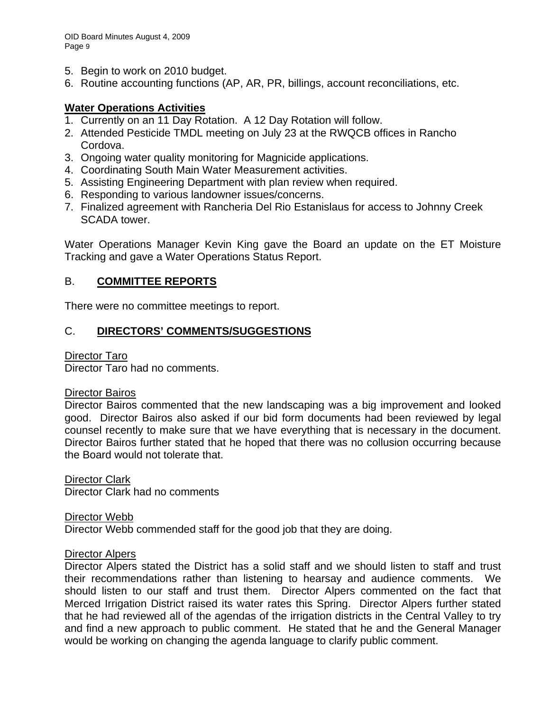- 5. Begin to work on 2010 budget.
- 6. Routine accounting functions (AP, AR, PR, billings, account reconciliations, etc.

## **Water Operations Activities**

- 1. Currently on an 11 Day Rotation. A 12 Day Rotation will follow.
- 2. Attended Pesticide TMDL meeting on July 23 at the RWQCB offices in Rancho Cordova.
- 3. Ongoing water quality monitoring for Magnicide applications.
- 4. Coordinating South Main Water Measurement activities.
- 5. Assisting Engineering Department with plan review when required.
- 6. Responding to various landowner issues/concerns.
- 7. Finalized agreement with Rancheria Del Rio Estanislaus for access to Johnny Creek SCADA tower.

Water Operations Manager Kevin King gave the Board an update on the ET Moisture Tracking and gave a Water Operations Status Report.

## B. **COMMITTEE REPORTS**

There were no committee meetings to report.

# C. **DIRECTORS' COMMENTS/SUGGESTIONS**

#### Director Taro

Director Taro had no comments.

#### Director Bairos

Director Bairos commented that the new landscaping was a big improvement and looked good. Director Bairos also asked if our bid form documents had been reviewed by legal counsel recently to make sure that we have everything that is necessary in the document. Director Bairos further stated that he hoped that there was no collusion occurring because the Board would not tolerate that.

Director Clark Director Clark had no comments

Director Webb Director Webb commended staff for the good job that they are doing.

#### Director Alpers

Director Alpers stated the District has a solid staff and we should listen to staff and trust their recommendations rather than listening to hearsay and audience comments. We should listen to our staff and trust them. Director Alpers commented on the fact that Merced Irrigation District raised its water rates this Spring. Director Alpers further stated that he had reviewed all of the agendas of the irrigation districts in the Central Valley to try and find a new approach to public comment. He stated that he and the General Manager would be working on changing the agenda language to clarify public comment.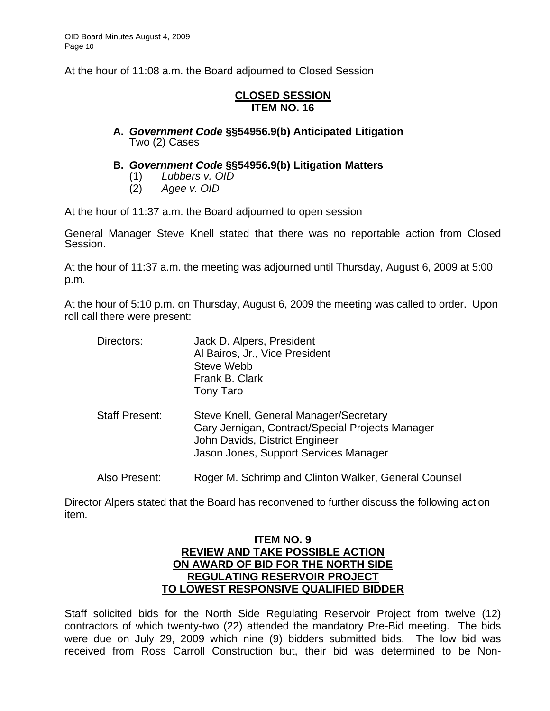At the hour of 11:08 a.m. the Board adjourned to Closed Session

## **CLOSED SESSION ITEM NO. 16**

### **A.** *Government Code* **§§54956.9(b) Anticipated Litigation**  Two (2) Cases

- **B.** *Government Code* **§§54956.9(b) Litigation Matters** 
	- (1) *Lubbers v. OID*
	- (2) *Agee v. OID*

At the hour of 11:37 a.m. the Board adjourned to open session

General Manager Steve Knell stated that there was no reportable action from Closed Session.

At the hour of 11:37 a.m. the meeting was adjourned until Thursday, August 6, 2009 at 5:00 p.m.

At the hour of 5:10 p.m. on Thursday, August 6, 2009 the meeting was called to order. Upon roll call there were present:

| Directors:            | Jack D. Alpers, President<br>Al Bairos, Jr., Vice President<br>Steve Webb<br>Frank B. Clark<br>Tony Taro                                                              |
|-----------------------|-----------------------------------------------------------------------------------------------------------------------------------------------------------------------|
| <b>Staff Present:</b> | Steve Knell, General Manager/Secretary<br>Gary Jernigan, Contract/Special Projects Manager<br>John Davids, District Engineer<br>Jason Jones, Support Services Manager |
| Also Present:         | Roger M. Schrimp and Clinton Walker, General Counsel                                                                                                                  |

Director Alpers stated that the Board has reconvened to further discuss the following action item.

### **ITEM NO. 9 REVIEW AND TAKE POSSIBLE ACTION ON AWARD OF BID FOR THE NORTH SIDE REGULATING RESERVOIR PROJECT TO LOWEST RESPONSIVE QUALIFIED BIDDER**

Staff solicited bids for the North Side Regulating Reservoir Project from twelve (12) contractors of which twenty-two (22) attended the mandatory Pre-Bid meeting. The bids were due on July 29, 2009 which nine (9) bidders submitted bids. The low bid was received from Ross Carroll Construction but, their bid was determined to be Non-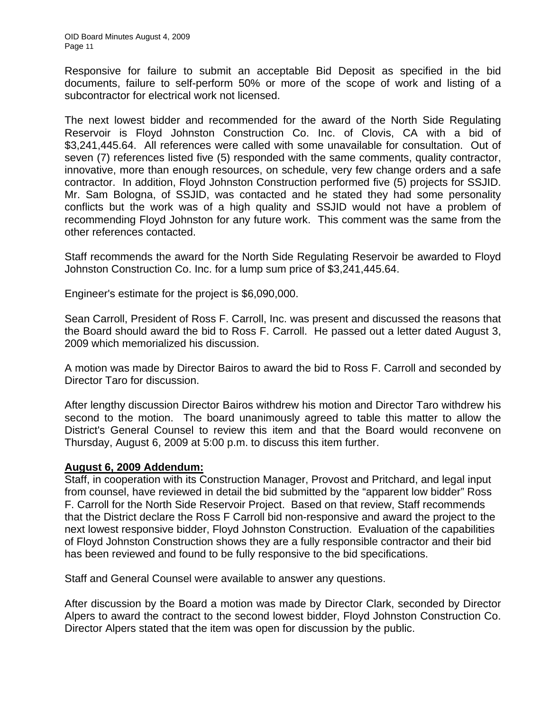Responsive for failure to submit an acceptable Bid Deposit as specified in the bid documents, failure to self-perform 50% or more of the scope of work and listing of a subcontractor for electrical work not licensed.

The next lowest bidder and recommended for the award of the North Side Regulating Reservoir is Floyd Johnston Construction Co. Inc. of Clovis, CA with a bid of \$3,241,445.64. All references were called with some unavailable for consultation. Out of seven (7) references listed five (5) responded with the same comments, quality contractor, innovative, more than enough resources, on schedule, very few change orders and a safe contractor. In addition, Floyd Johnston Construction performed five (5) projects for SSJID. Mr. Sam Bologna, of SSJID, was contacted and he stated they had some personality conflicts but the work was of a high quality and SSJID would not have a problem of recommending Floyd Johnston for any future work. This comment was the same from the other references contacted.

Staff recommends the award for the North Side Regulating Reservoir be awarded to Floyd Johnston Construction Co. Inc. for a lump sum price of \$3,241,445.64.

Engineer's estimate for the project is \$6,090,000.

Sean Carroll, President of Ross F. Carroll, Inc. was present and discussed the reasons that the Board should award the bid to Ross F. Carroll. He passed out a letter dated August 3, 2009 which memorialized his discussion.

A motion was made by Director Bairos to award the bid to Ross F. Carroll and seconded by Director Taro for discussion.

After lengthy discussion Director Bairos withdrew his motion and Director Taro withdrew his second to the motion. The board unanimously agreed to table this matter to allow the District's General Counsel to review this item and that the Board would reconvene on Thursday, August 6, 2009 at 5:00 p.m. to discuss this item further.

#### **August 6, 2009 Addendum:**

Staff, in cooperation with its Construction Manager, Provost and Pritchard, and legal input from counsel, have reviewed in detail the bid submitted by the "apparent low bidder" Ross F. Carroll for the North Side Reservoir Project. Based on that review, Staff recommends that the District declare the Ross F Carroll bid non-responsive and award the project to the next lowest responsive bidder, Floyd Johnston Construction. Evaluation of the capabilities of Floyd Johnston Construction shows they are a fully responsible contractor and their bid has been reviewed and found to be fully responsive to the bid specifications.

Staff and General Counsel were available to answer any questions.

After discussion by the Board a motion was made by Director Clark, seconded by Director Alpers to award the contract to the second lowest bidder, Floyd Johnston Construction Co. Director Alpers stated that the item was open for discussion by the public.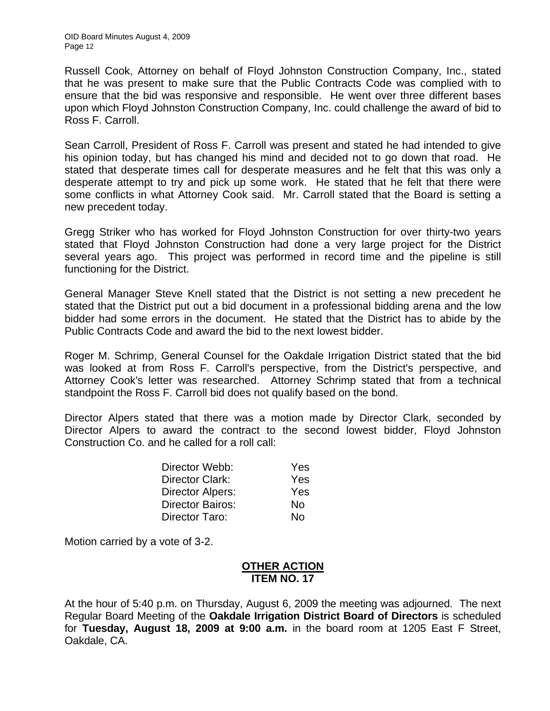Russell Cook, Attorney on behalf of Floyd Johnston Construction Company, Inc., stated that he was present to make sure that the Public Contracts Code was complied with to ensure that the bid was responsive and responsible. He went over three different bases upon which Floyd Johnston Construction Company, Inc. could challenge the award of bid to Ross F. Carroll.

Sean Carroll, President of Ross F. Carroll was present and stated he had intended to give his opinion today, but has changed his mind and decided not to go down that road. He stated that desperate times call for desperate measures and he felt that this was only a desperate attempt to try and pick up some work. He stated that he felt that there were some conflicts in what Attorney Cook said. Mr. Carroll stated that the Board is setting a new precedent today.

Gregg Striker who has worked for Floyd Johnston Construction for over thirty-two years stated that Floyd Johnston Construction had done a very large project for the District several years ago. This project was performed in record time and the pipeline is still functioning for the District.

General Manager Steve Knell stated that the District is not setting a new precedent he stated that the District put out a bid document in a professional bidding arena and the low bidder had some errors in the document. He stated that the District has to abide by the Public Contracts Code and award the bid to the next lowest bidder.

Roger M. Schrimp, General Counsel for the Oakdale Irrigation District stated that the bid was looked at from Ross F. Carroll's perspective, from the District's perspective, and Attorney Cook's letter was researched. Attorney Schrimp stated that from a technical standpoint the Ross F. Carroll bid does not qualify based on the bond.

Director Alpers stated that there was a motion made by Director Clark, seconded by Director Alpers to award the contract to the second lowest bidder, Floyd Johnston Construction Co. and he called for a roll call:

| Director Webb:          | Yes |
|-------------------------|-----|
| Director Clark:         | Yes |
| Director Alpers:        | Yes |
| <b>Director Bairos:</b> | No  |
| Director Taro:          | Nο  |

Motion carried by a vote of 3-2.

## **OTHER ACTION ITEM NO. 17**

At the hour of 5:40 p.m. on Thursday, August 6, 2009 the meeting was adjourned. The next Regular Board Meeting of the **Oakdale Irrigation District Board of Directors** is scheduled for **Tuesday, August 18, 2009 at 9:00 a.m.** in the board room at 1205 East F Street, Oakdale, CA.